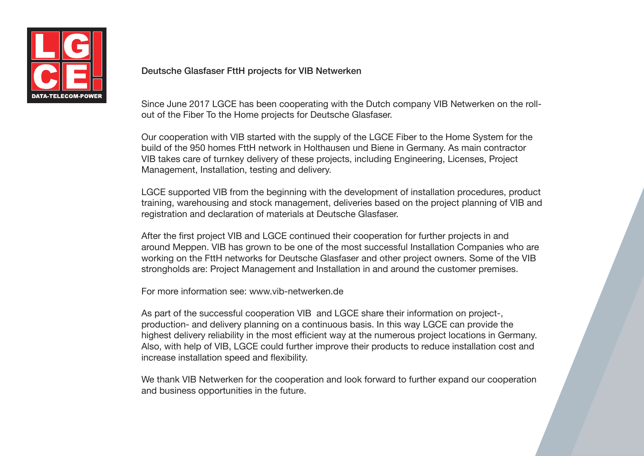

## Deutsche Glasfaser FttH projects for VIB Netwerken

Since June 2017 LGCE has been cooperating with the Dutch company VIB Netwerken on the rollout of the Fiber To the Home projects for Deutsche Glasfaser.

Our cooperation with VIB started with the supply of the LGCE Fiber to the Home System for the build of the 950 homes FttH network in Holthausen und Biene in Germany. As main contractor VIB takes care of turnkey delivery of these projects, including Engineering, Licenses, Project Management, Installation, testing and delivery.

LGCE supported VIB from the beginning with the development of installation procedures, product training, warehousing and stock management, deliveries based on the project planning of VIB and registration and declaration of materials at Deutsche Glasfaser.

After the first project VIB and LGCE continued their cooperation for further projects in and around Meppen. VIB has grown to be one of the most successful Installation Companies who are working on the FttH networks for Deutsche Glasfaser and other project owners. Some of the VIB strongholds are: Project Management and Installation in and around the customer premises.

For more information see: www.vib-netwerken.de

As part of the successful cooperation VIB and LGCE share their information on project-, production- and delivery planning on a continuous basis. In this way LGCE can provide the highest delivery reliability in the most efficient way at the numerous project locations in Germany. Also, with help of VIB, LGCE could further improve their products to reduce installation cost and increase installation speed and flexibility.

We thank VIB Netwerken for the cooperation and look forward to further expand our cooperation and business opportunities in the future.